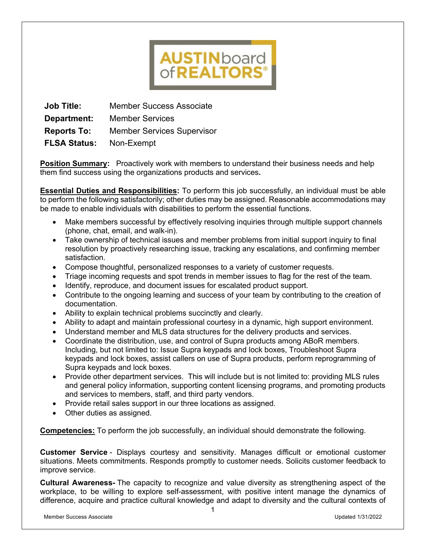# **AUSTINboard**<br>of**REALTORS**®

**Job Title:** Member Success Associate **Department:** Member Services **Reports To:** Member Services Supervisor **FLSA Status:** Non-Exempt

**Position Summary:** Proactively work with members to understand their business needs and help them find success using the organizations products and services**.**

**Essential Duties and Responsibilities:** To perform this job successfully, an individual must be able to perform the following satisfactorily; other duties may be assigned. Reasonable accommodations may be made to enable individuals with disabilities to perform the essential functions.

- Make members successful by effectively resolving inquiries through multiple support channels (phone, chat, email, and walk-in).
- Take ownership of technical issues and member problems from initial support inquiry to final resolution by proactively researching issue, tracking any escalations, and confirming member satisfaction.
- Compose thoughtful, personalized responses to a variety of customer requests.
- Triage incoming requests and spot trends in member issues to flag for the rest of the team.
- Identify, reproduce, and document issues for escalated product support.
- Contribute to the ongoing learning and success of your team by contributing to the creation of documentation.
- Ability to explain technical problems succinctly and clearly.
- Ability to adapt and maintain professional courtesy in a dynamic, high support environment.
- Understand member and MLS data structures for the delivery products and services.
- Coordinate the distribution, use, and control of Supra products among ABoR members. Including, but not limited to: Issue Supra keypads and lock boxes, Troubleshoot Supra keypads and lock boxes, assist callers on use of Supra products, perform reprogramming of Supra keypads and lock boxes.
- Provide other department services. This will include but is not limited to: providing MLS rules and general policy information, supporting content licensing programs, and promoting products and services to members, staff, and third party vendors.
- Provide retail sales support in our three locations as assigned.
- Other duties as assigned.

**Competencies:** To perform the job successfully, an individual should demonstrate the following.

**Customer Service** - Displays courtesy and sensitivity. Manages difficult or emotional customer situations. Meets commitments. Responds promptly to customer needs. Solicits customer feedback to improve service.

**Cultural Awareness-** The capacity to recognize and value diversity as strengthening aspect of the workplace, to be willing to explore self-assessment, with positive intent manage the dynamics of difference, acquire and practice cultural knowledge and adapt to diversity and the cultural contexts of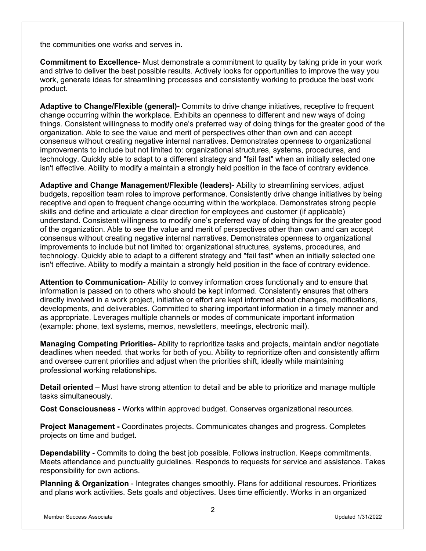the communities one works and serves in.

**Commitment to Excellence-** Must demonstrate a commitment to quality by taking pride in your work and strive to deliver the best possible results. Actively looks for opportunities to improve the way you work, generate ideas for streamlining processes and consistently working to produce the best work product.

**Adaptive to Change/Flexible (general)-** Commits to drive change initiatives, receptive to frequent change occurring within the workplace. Exhibits an openness to different and new ways of doing things. Consistent willingness to modify one's preferred way of doing things for the greater good of the organization. Able to see the value and merit of perspectives other than own and can accept consensus without creating negative internal narratives. Demonstrates openness to organizational improvements to include but not limited to: organizational structures, systems, procedures, and technology. Quickly able to adapt to a different strategy and "fail fast" when an initially selected one isn't effective. Ability to modify a maintain a strongly held position in the face of contrary evidence.

**Adaptive and Change Management/Flexible (leaders)-** Ability to streamlining services, adjust budgets, reposition team roles to improve performance. Consistently drive change initiatives by being receptive and open to frequent change occurring within the workplace. Demonstrates strong people skills and define and articulate a clear direction for employees and customer (if applicable) understand. Consistent willingness to modify one's preferred way of doing things for the greater good of the organization. Able to see the value and merit of perspectives other than own and can accept consensus without creating negative internal narratives. Demonstrates openness to organizational improvements to include but not limited to: organizational structures, systems, procedures, and technology. Quickly able to adapt to a different strategy and "fail fast" when an initially selected one isn't effective. Ability to modify a maintain a strongly held position in the face of contrary evidence.

**Attention to Communication-** Ability to convey information cross functionally and to ensure that information is passed on to others who should be kept informed. Consistently ensures that others directly involved in a work project, initiative or effort are kept informed about changes, modifications, developments, and deliverables. Committed to sharing important information in a timely manner and as appropriate. Leverages multiple channels or modes of communicate important information (example: phone, text systems, memos, newsletters, meetings, electronic mail).

**Managing Competing Priorities-** Ability to reprioritize tasks and projects, maintain and/or negotiate deadlines when needed. that works for both of you. Ability to reprioritize often and consistently affirm and oversee current priorities and adjust when the priorities shift, ideally while maintaining professional working relationships.

**Detail oriented** – Must have strong attention to detail and be able to prioritize and manage multiple tasks simultaneously.

**Cost Consciousness -** Works within approved budget. Conserves organizational resources.

**Project Management -** Coordinates projects. Communicates changes and progress. Completes projects on time and budget.

**Dependability** - Commits to doing the best job possible. Follows instruction. Keeps commitments. Meets attendance and punctuality guidelines. Responds to requests for service and assistance. Takes responsibility for own actions.

**Planning & Organization** - Integrates changes smoothly. Plans for additional resources. Prioritizes and plans work activities. Sets goals and objectives. Uses time efficiently. Works in an organized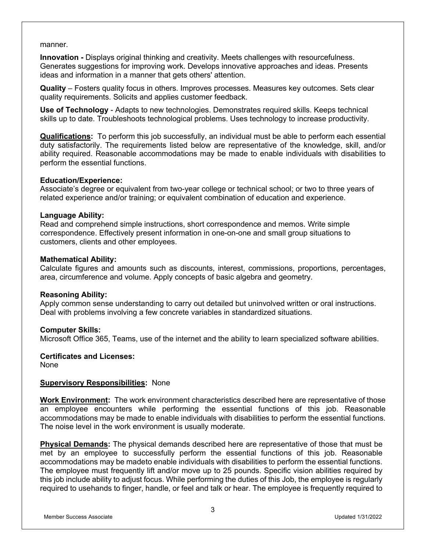### manner.

**Innovation -** Displays original thinking and creativity. Meets challenges with resourcefulness. Generates suggestions for improving work. Develops innovative approaches and ideas. Presents ideas and information in a manner that gets others' attention.

**Quality** – Fosters quality focus in others. Improves processes. Measures key outcomes. Sets clear quality requirements. Solicits and applies customer feedback.

**Use of Technology** - Adapts to new technologies. Demonstrates required skills. Keeps technical skills up to date. Troubleshoots technological problems. Uses technology to increase productivity.

**Qualifications:** To perform this job successfully, an individual must be able to perform each essential duty satisfactorily. The requirements listed below are representative of the knowledge, skill, and/or ability required. Reasonable accommodations may be made to enable individuals with disabilities to perform the essential functions.

# **Education/Experience:**

Associate's degree or equivalent from two-year college or technical school; or two to three years of related experience and/or training; or equivalent combination of education and experience.

## **Language Ability:**

Read and comprehend simple instructions, short correspondence and memos. Write simple correspondence. Effectively present information in one-on-one and small group situations to customers, clients and other employees.

## **Mathematical Ability:**

Calculate figures and amounts such as discounts, interest, commissions, proportions, percentages, area, circumference and volume. Apply concepts of basic algebra and geometry.

# **Reasoning Ability:**

Apply common sense understanding to carry out detailed but uninvolved written or oral instructions. Deal with problems involving a few concrete variables in standardized situations.

# **Computer Skills:**

Microsoft Office 365, Teams, use of the internet and the ability to learn specialized software abilities.

# **Certificates and Licenses:**

None

# **Supervisory Responsibilities:** None

**Work Environment:** The work environment characteristics described here are representative of those an employee encounters while performing the essential functions of this job. Reasonable accommodations may be made to enable individuals with disabilities to perform the essential functions. The noise level in the work environment is usually moderate.

**Physical Demands:** The physical demands described here are representative of those that must be met by an employee to successfully perform the essential functions of this job. Reasonable accommodations may be madeto enable individuals with disabilities to perform the essential functions. The employee must frequently lift and/or move up to 25 pounds. Specific vision abilities required by this job include ability to adjust focus. While performing the duties of this Job, the employee is regularly required to usehands to finger, handle, or feel and talk or hear. The employee is frequently required to